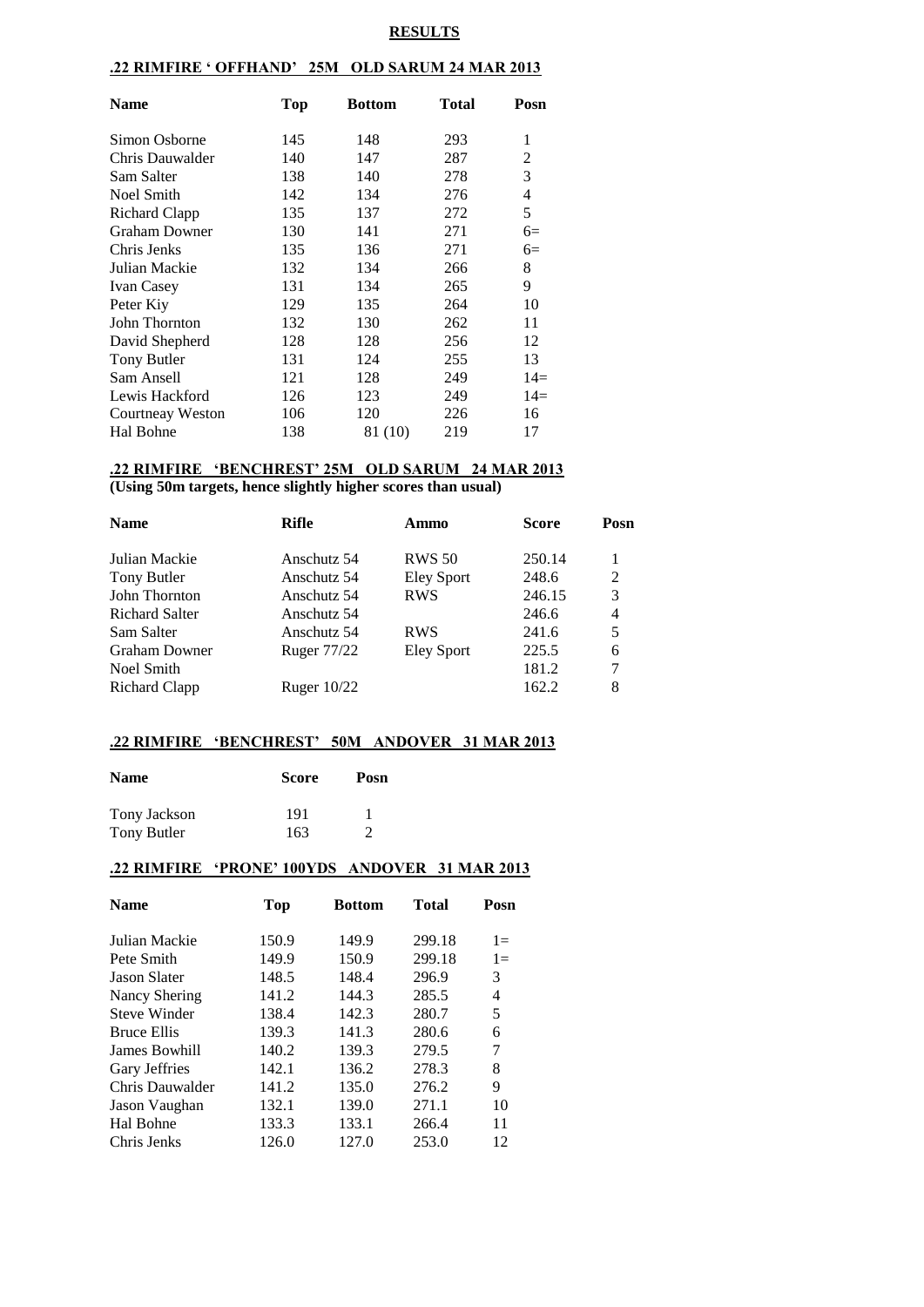#### **RESULTS**

### **.22 RIMFIRE ' OFFHAND' 25M OLD SARUM 24 MAR 2013**

| Name                 | Top | <b>Bottom</b> | Total | Posn  |
|----------------------|-----|---------------|-------|-------|
| Simon Osborne        | 145 | 148           | 293   | 1     |
| Chris Dauwalder      | 140 | 147           | 287   | 2     |
| Sam Salter           | 138 | 140           | 278   | 3     |
| Noel Smith           | 142 | 134           | 276   | 4     |
| Richard Clapp        | 135 | 137           | 272   | 5     |
| <b>Graham Downer</b> | 130 | 141           | 271   | $6=$  |
| Chris Jenks          | 135 | 136           | 271   | $6=$  |
| Julian Mackie        | 132 | 134           | 266   | 8     |
| <b>Ivan Casey</b>    | 131 | 134           | 265   | 9     |
| Peter Kiy            | 129 | 135           | 264   | 10    |
| John Thornton        | 132 | 130           | 262   | 11    |
| David Shepherd       | 128 | 128           | 256   | 12    |
| Tony Butler          | 131 | 124           | 255   | 13    |
| Sam Ansell           | 121 | 128           | 249   | $14=$ |
| Lewis Hackford       | 126 | 123           | 249   | $14=$ |
| Courtneay Weston     | 106 | 120           | 226   | 16    |
| Hal Bohne            | 138 | 81 (10)       | 219   | 17    |

## **.22 RIMFIRE 'BENCHREST' 25M OLD SARUM 24 MAR 2013**

**(Using 50m targets, hence slightly higher scores than usual)**

| Ammo                                                                                                                           | <b>Score</b> | Posn |
|--------------------------------------------------------------------------------------------------------------------------------|--------------|------|
| <b>RWS 50</b>                                                                                                                  | 250.14       | 1    |
| Eley Sport                                                                                                                     | 248.6        | 2    |
| <b>RWS</b>                                                                                                                     | 246.15       | 3    |
|                                                                                                                                | 246.6        | 4    |
| <b>RWS</b>                                                                                                                     | 241.6        | 5    |
| Eley Sport                                                                                                                     | 225.5        | 6    |
|                                                                                                                                | 181.2        | 7    |
|                                                                                                                                | 162.2        | 8    |
| <b>Rifle</b><br>Anschutz 54<br>Anschutz 54<br>Anschutz 54<br>Anschutz 54<br>Anschutz 54<br><b>Ruger 77/22</b><br>Ruger $10/22$ |              |      |

#### **.22 RIMFIRE 'BENCHREST' 50M ANDOVER 31 MAR 2013**

| <b>Name</b>  | <b>Score</b> | Posn |
|--------------|--------------|------|
| Tony Jackson | 191          |      |
| Tony Butler  | 163          |      |

#### **.22 RIMFIRE 'PRONE' 100YDS ANDOVER 31 MAR 2013**

| <b>Name</b>         | Top   | <b>Bottom</b> | <b>Total</b> | Posn  |
|---------------------|-------|---------------|--------------|-------|
| Julian Mackie       | 150.9 | 149.9         | 299.18       | $1 =$ |
| Pete Smith          | 149.9 | 150.9         | 299.18       | $1 =$ |
| <b>Jason Slater</b> | 148.5 | 148.4         | 296.9        | 3     |
| Nancy Shering       | 141.2 | 144.3         | 285.5        | 4     |
| <b>Steve Winder</b> | 138.4 | 142.3         | 280.7        | 5     |
| <b>Bruce Ellis</b>  | 139.3 | 141.3         | 280.6        | 6     |
| James Bowhill       | 140.2 | 139.3         | 279.5        | 7     |
| Gary Jeffries       | 142.1 | 136.2         | 278.3        | 8     |
| Chris Dauwalder     | 141.2 | 135.0         | 276.2        | 9     |
| Jason Vaughan       | 132.1 | 139.0         | 271.1        | 10    |
| Hal Bohne           | 133.3 | 133.1         | 266.4        | 11    |
| Chris Jenks         | 126.0 | 127.0         | 253.0        | 12    |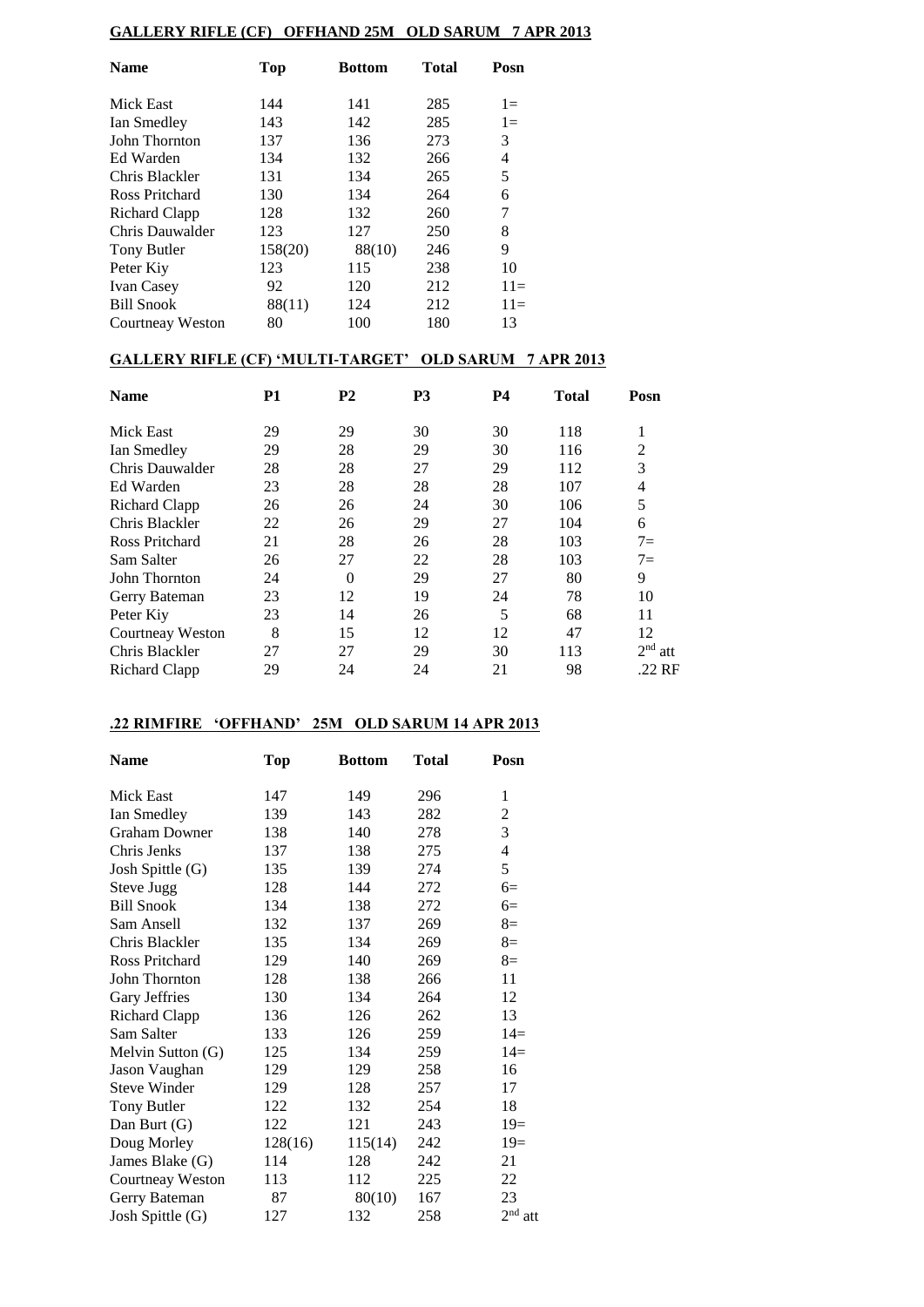# **GALLERY RIFLE (CF) OFFHAND 25M OLD SARUM 7 APR 2013**

| <b>Name</b>       | <b>Top</b> | <b>Bottom</b> | <b>Total</b> | Posn  |
|-------------------|------------|---------------|--------------|-------|
| Mick East         | 144        | 141           | 285          | $1 =$ |
| Ian Smedley       | 143        | 142           | 285          | $1 =$ |
| John Thornton     | 137        | 136           | 273          | 3     |
| Ed Warden         | 134        | 132           | 266          | 4     |
| Chris Blackler    | 131        | 134           | 265          | 5     |
| Ross Pritchard    | 130        | 134           | 264          | 6     |
| Richard Clapp     | 128        | 132           | 260          | 7     |
| Chris Dauwalder   | 123        | 127           | 250          | 8     |
| Tony Butler       | 158(20)    | 88(10)        | 246          | 9     |
| Peter Kiy         | 123        | 115           | 238          | 10    |
| <b>Ivan Casey</b> | 92         | 120           | 212          | $11=$ |
| <b>Bill Snook</b> | 88(11)     | 124           | 212          | $11=$ |
| Courtneay Weston  | 80         | 100           | 180          | 13    |

### **GALLERY RIFLE (CF) 'MULTI-TARGET' OLD SARUM 7 APR 2013**

| <b>Name</b>             | <b>P1</b> | P <sub>2</sub> | P <sub>3</sub> | <b>P4</b> | <b>Total</b> | Posn                   |
|-------------------------|-----------|----------------|----------------|-----------|--------------|------------------------|
| Mick East               | 29        | 29             | 30             | 30        | 118          | 1                      |
| Ian Smedley             | 29        | 28             | 29             | 30        | 116          | 2                      |
| Chris Dauwalder         | 28        | 28             | 27             | 29        | 112          | 3                      |
| Ed Warden               | 23        | 28             | 28             | 28        | 107          | 4                      |
| Richard Clapp           | 26        | 26             | 24             | 30        | 106          | 5                      |
| Chris Blackler          | 22        | 26             | 29             | 27        | 104          | 6                      |
| Ross Pritchard          | 21        | 28             | 26             | 28        | 103          | $7=$                   |
| Sam Salter              | 26        | 27             | 22             | 28        | 103          | $7=$                   |
| John Thornton           | 24        | $\theta$       | 29             | 27        | 80           | 9                      |
| Gerry Bateman           | 23        | 12             | 19             | 24        | 78           | 10                     |
| Peter Kiy               | 23        | 14             | 26             | 5         | 68           | 11                     |
| <b>Courtneay Weston</b> | 8         | 15             | 12             | 12        | 47           | 12                     |
| Chris Blackler          | 27        | 27             | 29             | 30        | 113          | 2 <sup>nd</sup><br>att |
| Richard Clapp           | 29        | 24             | 24             | 21        | 98           | .22 RF                 |

### **.22 RIMFIRE 'OFFHAND' 25M OLD SARUM 14 APR 2013**

| <b>Name</b>           | <b>Top</b> | <b>Bottom</b> | <b>Total</b> | Posn                     |
|-----------------------|------------|---------------|--------------|--------------------------|
| Mick East             | 147        | 149           | 296          | 1                        |
| Ian Smedley           | 139        | 143           | 282          | $\overline{c}$           |
| <b>Graham Downer</b>  | 138        | 140           | 278          | 3                        |
| Chris Jenks           | 137        | 138           | 275          | $\overline{\mathcal{L}}$ |
| Josh Spittle (G)      | 135        | 139           | 274          | 5                        |
| <b>Steve Jugg</b>     | 128        | 144           | 272          | $6=$                     |
| <b>Bill Snook</b>     | 134        | 138           | 272          | $6=$                     |
| Sam Ansell            | 132        | 137           | 269          | $8=$                     |
| Chris Blackler        | 135        | 134           | 269          | $8=$                     |
| <b>Ross Pritchard</b> | 129        | 140           | 269          | $8=$                     |
| John Thornton         | 128        | 138           | 266          | 11                       |
| Gary Jeffries         | 130        | 134           | 264          | 12                       |
| <b>Richard Clapp</b>  | 136        | 126           | 262          | 13                       |
| Sam Salter            | 133        | 126           | 259          | $14=$                    |
| Melvin Sutton (G)     | 125        | 134           | 259          | $14=$                    |
| Jason Vaughan         | 129        | 129           | 258          | 16                       |
| <b>Steve Winder</b>   | 129        | 128           | 257          | 17                       |
| <b>Tony Butler</b>    | 122        | 132           | 254          | 18                       |
| Dan Burt (G)          | 122        | 121           | 243          | $19=$                    |
| Doug Morley           | 128(16)    | 115(14)       | 242          | $19=$                    |
| James Blake (G)       | 114        | 128           | 242          | 21                       |
| Courtneay Weston      | 113        | 112           | 225          | 22                       |
| Gerry Bateman         | 87         | 80(10)        | 167          | 23                       |
| Josh Spittle (G)      | 127        | 132           | 258          | $2nd$ att                |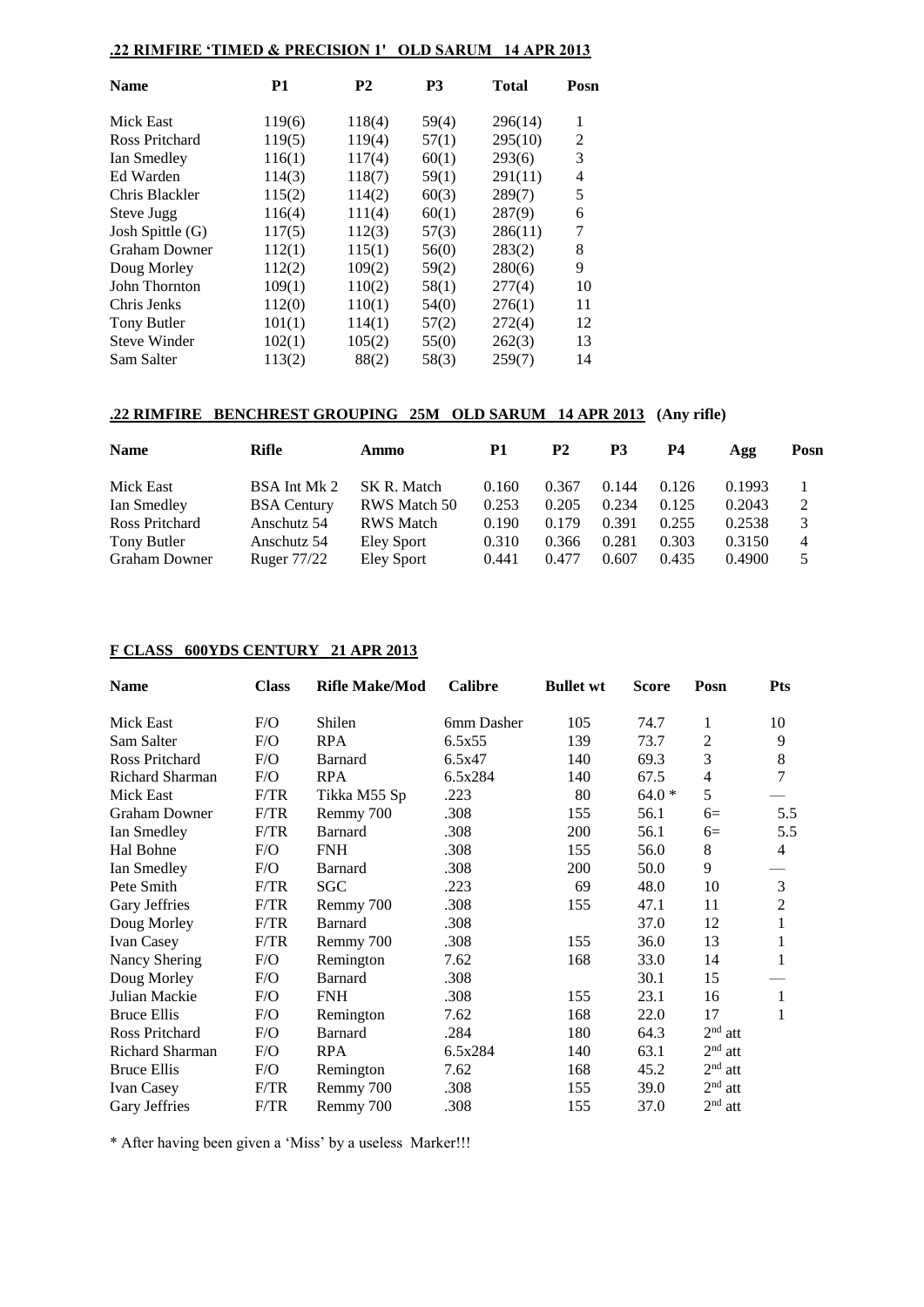## **.22 RIMFIRE 'TIMED & PRECISION 1' OLD SARUM 14 APR 2013**

| <b>Name</b>          | P1     | <b>P2</b> | P <sub>3</sub> | <b>Total</b> | Posn |
|----------------------|--------|-----------|----------------|--------------|------|
| Mick East            | 119(6) | 118(4)    | 59(4)          | 296(14)      | 1    |
| Ross Pritchard       | 119(5) | 119(4)    | 57(1)          | 295(10)      | 2    |
| Ian Smedley          | 116(1) | 117(4)    | 60(1)          | 293(6)       | 3    |
| Ed Warden            | 114(3) | 118(7)    | 59(1)          | 291(11)      | 4    |
| Chris Blackler       | 115(2) | 114(2)    | 60(3)          | 289(7)       | 5    |
| Steve Jugg           | 116(4) | 111(4)    | 60(1)          | 287(9)       | 6    |
| Josh Spittle (G)     | 117(5) | 112(3)    | 57(3)          | 286(11)      | 7    |
| <b>Graham Downer</b> | 112(1) | 115(1)    | 56(0)          | 283(2)       | 8    |
| Doug Morley          | 112(2) | 109(2)    | 59(2)          | 280(6)       | 9    |
| John Thornton        | 109(1) | 110(2)    | 58(1)          | 277(4)       | 10   |
| Chris Jenks          | 112(0) | 110(1)    | 54(0)          | 276(1)       | 11   |
| Tony Butler          | 101(1) | 114(1)    | 57(2)          | 272(4)       | 12   |
| <b>Steve Winder</b>  | 102(1) | 105(2)    | 55(0)          | 262(3)       | 13   |
| Sam Salter           | 113(2) | 88(2)     | 58(3)          | 259(7)       | 14   |
|                      |        |           |                |              |      |

# **.22 RIMFIRE BENCHREST GROUPING 25M OLD SARUM 14 APR 2013 (Any rifle)**

| <b>Name</b>          | Rifle              | Ammo             | P1    | P2    | P3    | P4    | Agg    | Posn |
|----------------------|--------------------|------------------|-------|-------|-------|-------|--------|------|
| Mick East            | BSA Int Mk 2       | SK R. Match      | 0.160 | 0.367 | 0.144 | 0.126 | 0.1993 |      |
| Ian Smedley          | <b>BSA</b> Century | RWS Match 50     | 0.253 | 0.205 | 0.234 | 0.125 | 0.2043 | 2    |
| Ross Pritchard       | Anschutz 54        | <b>RWS</b> Match | 0.190 | 0.179 | 0.391 | 0.255 | 0.2538 | 3    |
| Tony Butler          | Anschutz 54        | Eley Sport       | 0.310 | 0.366 | 0.281 | 0.303 | 0.3150 | 4    |
| <b>Graham Downer</b> | Ruger 77/22        | Eley Sport       | 0.441 | 0.477 | 0.607 | 0.435 | 0.4900 | 5    |

### **F CLASS 600YDS CENTURY 21 APR 2013**

| <b>Name</b>            | <b>Class</b> | <b>Rifle Make/Mod</b> | Calibre    | <b>Bullet wt</b> | <b>Score</b> | Posn           | <b>Pts</b>     |
|------------------------|--------------|-----------------------|------------|------------------|--------------|----------------|----------------|
| Mick East              | F/O          | Shilen                | 6mm Dasher | 105              | 74.7         | 1              | 10             |
| Sam Salter             | F/O          | <b>RPA</b>            | 6.5x55     | 139              | 73.7         | 2              | 9              |
| Ross Pritchard         | F/O          | Barnard               | 6.5x47     | 140              | 69.3         | 3              | 8              |
| Richard Sharman        | F/O          | RPA                   | 6.5x284    | 140              | 67.5         | $\overline{4}$ | 7              |
| Mick East              | F/TR         | Tikka M55 Sp          | .223       | 80               | $64.0*$      | 5              |                |
| <b>Graham Downer</b>   | F/TR         | Remmy 700             | .308       | 155              | 56.1         | $6=$           | 5.5            |
| Ian Smedley            | F/TR         | <b>Barnard</b>        | .308       | 200              | 56.1         | $6=$           | 5.5            |
| Hal Bohne              | F/O          | <b>FNH</b>            | .308       | 155              | 56.0         | 8              | 4              |
| Ian Smedley            | F/O          | Barnard               | .308       | 200              | 50.0         | 9              |                |
| Pete Smith             | F/TR         | SGC                   | .223       | 69               | 48.0         | 10             | 3              |
| Gary Jeffries          | F/TR         | Remmy 700             | .308       | 155              | 47.1         | 11             | $\overline{2}$ |
| Doug Morley            | F/TR         | <b>Barnard</b>        | .308       |                  | 37.0         | 12             |                |
| Ivan Casey             | F/TR         | Remmy 700             | .308       | 155              | 36.0         | 13             | 1              |
| Nancy Shering          | F/O          | Remington             | 7.62       | 168              | 33.0         | 14             | 1              |
| Doug Morley            | F/O          | Barnard               | .308       |                  | 30.1         | 15             |                |
| Julian Mackie          | F/O          | <b>FNH</b>            | .308       | 155              | 23.1         | 16             | 1              |
| <b>Bruce Ellis</b>     | F/O          | Remington             | 7.62       | 168              | 22.0         | 17             | 1              |
| Ross Pritchard         | F/O          | Barnard               | .284       | 180              | 64.3         | $2nd$ att      |                |
| <b>Richard Sharman</b> | F/O          | <b>RPA</b>            | 6.5x284    | 140              | 63.1         | $2nd$ att      |                |
| <b>Bruce Ellis</b>     | F/O          | Remington             | 7.62       | 168              | 45.2         | $2nd$ att      |                |
| <b>Ivan Casey</b>      | F/TR         | Remmy 700             | .308       | 155              | 39.0         | $2nd$ att      |                |
| Gary Jeffries          | F/TR         | Remmy 700             | .308       | 155              | 37.0         | $2nd$ att      |                |

\* After having been given a 'Miss' by a useless Marker!!!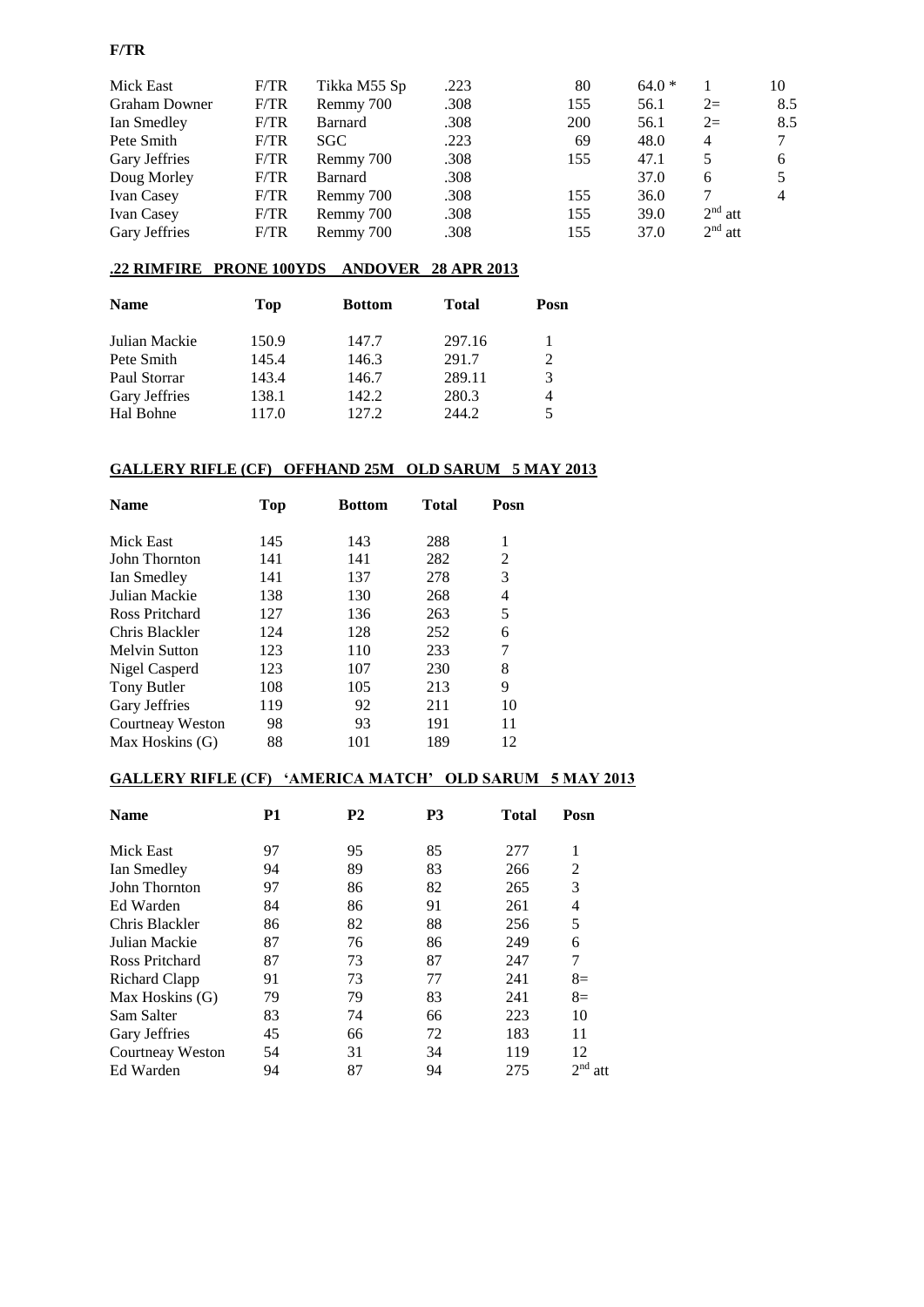### **F/TR**

| Mick East            | F/TR | Tikka M55 Sp   | .223 | 80         | $64.0*$ |           | 10  |
|----------------------|------|----------------|------|------------|---------|-----------|-----|
| <b>Graham Downer</b> | F/TR | Remmy 700      | .308 | 155        | 56.1    | $2=$      | 8.5 |
| Ian Smedley          | F/TR | <b>Barnard</b> | .308 | <b>200</b> | 56.1    | $2=$      | 8.5 |
| Pete Smith           | F/TR | SGC.           | .223 | 69         | 48.0    | 4         | 7   |
| Gary Jeffries        | F/TR | Remmy 700      | .308 | 155        | 47.1    |           | 6   |
| Doug Morley          | F/TR | <b>Barnard</b> | .308 |            | 37.0    | 6         |     |
| <b>Ivan Casey</b>    | F/TR | Remmy 700      | .308 | 155        | 36.0    |           | 4   |
| <b>Ivan Casey</b>    | F/TR | Remmy 700      | .308 | 155        | 39.0    | $2nd$ att |     |
| Gary Jeffries        | F/TR | Remmy 700      | .308 | 155        | 37.0    | $2nd$ att |     |

### **.22 RIMFIRE PRONE 100YDS ANDOVER 28 APR 2013**

| <b>Name</b>   | Top   | <b>Bottom</b> | <b>Total</b> | Posn                        |
|---------------|-------|---------------|--------------|-----------------------------|
| Julian Mackie | 150.9 | 147.7         | 297.16       |                             |
| Pete Smith    | 145.4 | 146.3         | 291.7        | $\mathcal{D}_{\mathcal{L}}$ |
| Paul Storrar  | 143.4 | 146.7         | 289.11       | 3                           |
| Gary Jeffries | 138.1 | 142.2         | 280.3        | 4                           |
| Hal Bohne     | 117.0 | 127.2         | 244.2        |                             |

### **GALLERY RIFLE (CF) OFFHAND 25M OLD SARUM 5 MAY 2013**

| <b>Name</b>          | Top | <b>Bottom</b> | Total | Posn |
|----------------------|-----|---------------|-------|------|
| Mick East            | 145 | 143           | 288   | 1    |
| John Thornton        | 141 | 141           | 282   | 2    |
| Ian Smedley          | 141 | 137           | 278   | 3    |
| Julian Mackie        | 138 | 130           | 268   | 4    |
| Ross Pritchard       | 127 | 136           | 263   | 5    |
| Chris Blackler       | 124 | 128           | 252   | 6    |
| <b>Melvin Sutton</b> | 123 | 110           | 233   | 7    |
| Nigel Casperd        | 123 | 107           | 230   | 8    |
| Tony Butler          | 108 | 105           | 213   | 9    |
| Gary Jeffries        | 119 | 92            | 211   | 10   |
| Courtneay Weston     | 98  | 93            | 191   | 11   |
| Max Hoskins (G)      | 88  | 101           | 189   | 12   |

# **GALLERY RIFLE (CF) 'AMERICA MATCH' OLD SARUM 5 MAY 2013**

| <b>Name</b>      | P1 | P2 | P <sub>3</sub> | Total | Posn      |
|------------------|----|----|----------------|-------|-----------|
| Mick East        | 97 | 95 | 85             | 277   | 1         |
| Ian Smedley      | 94 | 89 | 83             | 266   | 2         |
| John Thornton    | 97 | 86 | 82             | 265   | 3         |
| Ed Warden        | 84 | 86 | 91             | 261   | 4         |
| Chris Blackler   | 86 | 82 | 88             | 256   | 5         |
| Julian Mackie    | 87 | 76 | 86             | 249   | 6         |
| Ross Pritchard   | 87 | 73 | 87             | 247   | 7         |
| Richard Clapp    | 91 | 73 | 77             | 241   | $8=$      |
| Max Hoskins (G)  | 79 | 79 | 83             | 241   | $8=$      |
| Sam Salter       | 83 | 74 | 66             | 223   | 10        |
| Gary Jeffries    | 45 | 66 | 72             | 183   | 11        |
| Courtneay Weston | 54 | 31 | 34             | 119   | 12        |
| Ed Warden        | 94 | 87 | 94             | 275   | $2nd$ att |